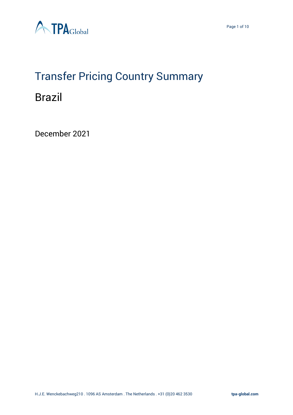

# Transfer Pricing Country Summary

### Brazil

December 2021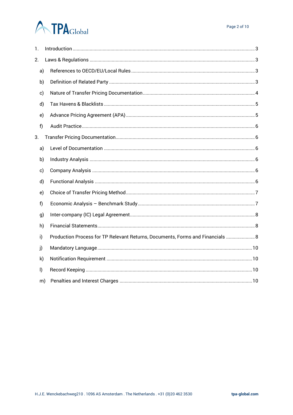### **ATPA**Global

| 1. |              |                                                                                |
|----|--------------|--------------------------------------------------------------------------------|
| 2. |              |                                                                                |
|    | a)           |                                                                                |
|    | b)           |                                                                                |
|    | c)           |                                                                                |
|    | d)           |                                                                                |
|    | e)           |                                                                                |
|    | f)           |                                                                                |
| 3. |              |                                                                                |
|    | a)           |                                                                                |
|    | b)           |                                                                                |
|    | c)           |                                                                                |
|    | d)           |                                                                                |
|    | e)           |                                                                                |
|    | f)           |                                                                                |
|    | g)           |                                                                                |
|    | h)           |                                                                                |
|    | i)           | Production Process for TP Relevant Returns, Documents, Forms and Financials  8 |
|    | j)           |                                                                                |
|    | k)           |                                                                                |
|    | $\mathsf{I}$ |                                                                                |
|    | m)           |                                                                                |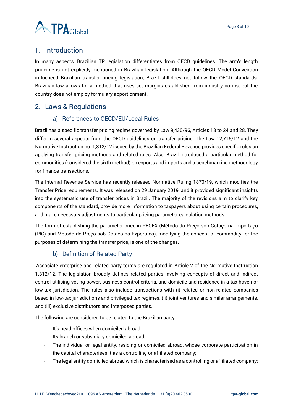

#### <span id="page-2-0"></span>1. Introduction

In many aspects, Brazilian TP legislation differentiates from OECD guidelines. The arm's length principle is not explicitly mentioned in Brazilian legislation. Although the OECD Model Convention influenced Brazilian transfer pricing legislation, Brazil still does not follow the OECD standards. Brazilian law allows for a method that uses set margins established from industry norms, but the country does not employ formulary apportionment.

#### <span id="page-2-2"></span><span id="page-2-1"></span>2. Laws & Regulations

#### a) References to OECD/EU/Local Rules

Brazil has a specific transfer pricing regime governed by Law 9,430/96, Articles 18 to 24 and 28. They differ in several aspects from the OECD guidelines on transfer pricing. The Law 12,715/12 and the Normative Instruction no. 1,312/12 issued by the Brazilian Federal Revenue provides specific rules on applying transfer pricing methods and related rules. Also, Brazil introduced a particular method for commodities (considered the sixth method) on exports and imports and a benchmarking methodology for finance transactions.

The Internal Revenue Service has recently released Normative Ruling 1870/19, which modifies the Transfer Price requirements. It was released on 29 January 2019, and it provided significant insights into the systematic use of transfer prices in Brazil. The majority of the revisions aim to clarify key components of the standard, provide more information to taxpayers about using certain procedures, and make necessary adjustments to particular pricing parameter calculation methods.

The form of establishing the parameter price in PECEX (Método do Preço sob Cotaço na Importaço (PIC) and Método do Preço sob Cotaço na Exportaço), modifying the concept of commodity for the purposes of determining the transfer price, is one of the changes.

#### b) Definition of Related Party

<span id="page-2-3"></span>Associate enterprise and related party terms are regulated in Article 2 of the Normative Instruction 1.312/12. The legislation broadly defines related parties involving concepts of direct and indirect control utilising voting power, business control criteria, and domicile and residence in a tax haven or low-tax jurisdiction. The rules also include transactions with (i) related or non-related companies based in low-tax jurisdictions and privileged tax regimes, (ii) joint ventures and similar arrangements, and (iii) exclusive distributors and interposed parties.

The following are considered to be related to the Brazilian party:

- It's head offices when domiciled abroad;
- Its branch or subsidiary domiciled abroad;
- The individual or legal entity, residing or domiciled abroad, whose corporate participation in the capital characterises it as a controlling or affiliated company;
- The legal entity domiciled abroad which is characterised as a controlling or affiliated company;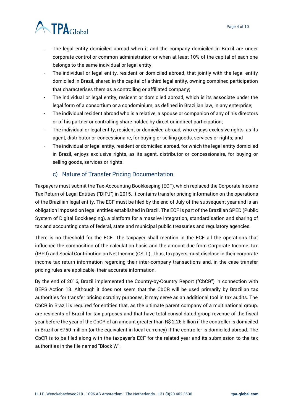

- The legal entity domiciled abroad when it and the company domiciled in Brazil are under corporate control or common administration or when at least 10% of the capital of each one belongs to the same individual or legal entity;
- The individual or legal entity, resident or domiciled abroad, that jointly with the legal entity domiciled in Brazil, shared in the capital of a third legal entity, owning combined participation that characterises them as a controlling or affiliated company;
- The individual or legal entity, resident or domiciled abroad, which is its associate under the legal form of a consortium or a condominium, as defined in Brazilian law, in any enterprise;
- The individual resident abroad who is a relative, a spouse or companion of any of his directors or of his partner or controlling share-holder, by direct or indirect participation;
- The individual or legal entity, resident or domiciled abroad, who enjoys exclusive rights, as its agent, distributor or concessionaire, for buying or selling goods, services or rights; and
- The individual or legal entity, resident or domiciled abroad, for which the legal entity domiciled in Brazil, enjoys exclusive rights, as its agent, distributor or concessionaire, for buying or selling goods, services or rights.

#### c) Nature of Transfer Pricing Documentation

<span id="page-3-0"></span>Taxpayers must submit the Tax-Accounting Bookkeeping (ECF), which replaced the Corporate Income Tax Return of Legal Entities ("DIPJ") in 2015. It contains transfer pricing information on the operations of the Brazilian legal entity. The ECF must be filed by the end of July of the subsequent year and is an obligation imposed on legal entities established in Brazil. The ECF is part of the Brazilian SPED (Public System of Digital Bookkeeping), a platform for a massive integration, standardisation and sharing of tax and accounting data of federal, state and municipal public treasuries and regulatory agencies.

There is no threshold for the ECF. The taxpayer shall mention in the ECF all the operations that influence the composition of the calculation basis and the amount due from Corporate Income Tax (IRPJ) and Social Contribution on Net Income (CSLL). Thus, taxpayers must disclose in their corporate income tax return information regarding their inter-company transactions and, in the case transfer pricing rules are applicable, their accurate information.

By the end of 2016, Brazil implemented the Country-by-Country Report ("CbCR") in connection with BEPS Action 13. Although it does not seem that the CbCR will be used primarily by Brazilian tax authorities for transfer pricing scrutiny purposes, it may serve as an additional tool in tax audits. The CbCR in Brazil is required for entities that, as the ultimate parent company of a multinational group, are residents of Brazil for tax purposes and that have total consolidated group revenue of the fiscal year before the year of the CbCR of an amount greater than R\$ 2.26 billion if the controller is domiciled in Brazil or €750 million (or the equivalent in local currency) if the controller is domiciled abroad. The CbCR is to be filed along with the taxpayer's ECF for the related year and its submission to the tax authorities in the file named "Block W".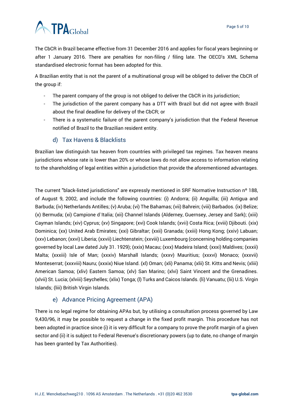

The CbCR in Brazil became effective from 31 December 2016 and applies for fiscal years beginning or after 1 January 2016. There are penalties for non-filing / filing late. The OECD's XML Schema standardised electronic format has been adopted for this.

A Brazilian entity that is not the parent of a multinational group will be obliged to deliver the CbCR of the group if:

- The parent company of the group is not obliged to deliver the CbCR in its jurisdiction;
- The jurisdiction of the parent company has a DTT with Brazil but did not agree with Brazil about the final deadline for delivery of the CbCR; or
- There is a systematic failure of the parent company's jurisdiction that the Federal Revenue notified of Brazil to the Brazilian resident entity.

#### d) Tax Havens & Blacklists

<span id="page-4-0"></span>Brazilian law distinguish tax heaven from countries with privileged tax regimes. Tax heaven means jurisdictions whose rate is lower than 20% or whose laws do not allow access to information relating to the shareholding of legal entities within a jurisdiction that provide the aforementioned advantages.

The current "black-listed jurisdictions" are expressly mentioned in SRF Normative Instruction nº 188, of August 9, 2002, and include the following countries: (i) Andorra; (ii) Anguilla; (iii) Antigua and Barbuda; (iv) Netherlands Antilles; (v) Aruba; (vi) The Bahamas; (vii) Bahrein; (viii) Barbados. (ix) Belize; (x) Bermuda; (xi) Campione d`Italia; (xii) Channel Islands (Alderney, Guernsey, Jersey and Sark); (xiii) Cayman Islands; (xiv) Cyprus; (xv) Singapore; (xvi) Cook Islands; (xvii) Costa Rica; (xviii) Djibouti. (xix) Dominica; (xx) United Arab Emirates; (xxi) Gibraltar; (xxii) Granada; (xxiii) Hong Kong; (xxiv) Labuan; (xxv) Lebanon; (xxvi) Liberia; (xxvii) Liechtenstein; (xxviii) Luxembourg (concerning holding companies governed by local Law dated July 31. 1929); (xxix) Macau; (xxx) Madeira Island; (xxxi) Maldives; (xxxii) Malta; (xxxiii) Isle of Man; (xxxiv) Marshall Islands; (xxxv) Mauritius; (xxxvi) Monaco; (xxxvii) Monteserrat; (xxxviii) Nauru; (xxxix) Niue Island. (xl) Oman; (xli) Panama; (xlii) St. Kitts and Nevis; (xliii) American Samoa; (xliv) Eastern Samoa; (xlv) San Marino; (xlvi) Saint Vincent and the Grenadines. (xlvii) St. Lucia; (xlviii) Seychelles; (xlix) Tonga; (l) Turks and Caicos Islands. (li) Vanuatu; (lii) U.S. Virgin Islands; (liii) British Virgin Islands.

#### e) Advance Pricing Agreement (APA)

<span id="page-4-1"></span>There is no legal regime for obtaining APAs but, by utilising a consultation process governed by Law 9,430/96, it may be possible to request a change in the fixed profit margin. This procedure has not been adopted in practice since (i) it is very difficult for a company to prove the profit margin of a given sector and (ii) it is subject to Federal Revenue's discretionary powers (up to date, no change of margin has been granted by Tax Authorities).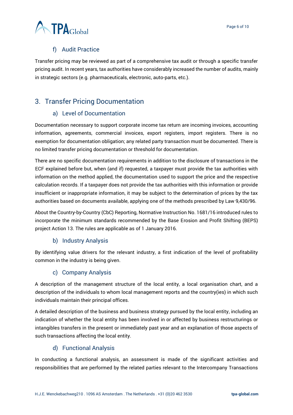

#### f) Audit Practice

<span id="page-5-0"></span>Transfer pricing may be reviewed as part of a comprehensive tax audit or through a specific transfer pricing audit. In recent years, tax authorities have considerably increased the number of audits, mainly in strategic sectors (e.g. pharmaceuticals, electronic, auto-parts, etc.).

#### <span id="page-5-2"></span><span id="page-5-1"></span>3. Transfer Pricing Documentation

#### a) Level of Documentation

Documentation necessary to support corporate income tax return are incoming invoices, accounting information, agreements, commercial invoices, export registers, import registers. There is no exemption for documentation obligation; any related party transaction must be documented. There is no limited transfer pricing documentation or threshold for documentation.

There are no specific documentation requirements in addition to the disclosure of transactions in the ECF explained before but, when (and if) requested, a taxpayer must provide the tax authorities with information on the method applied, the documentation used to support the price and the respective calculation records. If a taxpayer does not provide the tax authorities with this information or provide insufficient or inappropriate information, it may be subject to the determination of prices by the tax authorities based on documents available, applying one of the methods prescribed by Law 9,430/96.

About the Country-by-Country (CbC) Reporting, Normative Instruction No. 1681/16 introduced rules to incorporate the minimum standards recommended by the Base Erosion and Profit Shifting (BEPS) project Action 13. The rules are applicable as of 1 January 2016.

#### b) Industry Analysis

<span id="page-5-3"></span>By identifying value drivers for the relevant industry, a first indication of the level of profitability common in the industry is being given.

#### c) Company Analysis

<span id="page-5-4"></span>A description of the management structure of the local entity, a local organisation chart, and a description of the individuals to whom local management reports and the country(ies) in which such individuals maintain their principal offices.

A detailed description of the business and business strategy pursued by the local entity, including an indication of whether the local entity has been involved in or affected by business restructurings or intangibles transfers in the present or immediately past year and an explanation of those aspects of such transactions affecting the local entity.

#### d) Functional Analysis

<span id="page-5-5"></span>In conducting a functional analysis, an assessment is made of the significant activities and responsibilities that are performed by the related parties relevant to the Intercompany Transactions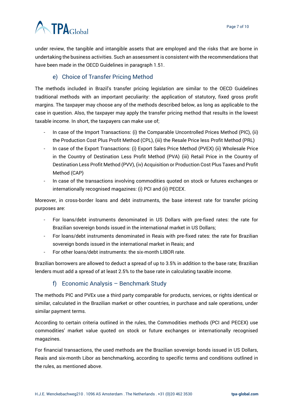## **ATPA**Global

under review, the tangible and intangible assets that are employed and the risks that are borne in undertaking the business activities. Such an assessment is consistent with the recommendations that have been made in the OECD Guidelines in paragraph 1.51.

#### e) Choice of Transfer Pricing Method

<span id="page-6-0"></span>The methods included in Brazil's transfer pricing legislation are similar to the OECD Guidelines traditional methods with an important peculiarity: the application of statutory, fixed gross profit margins. The taxpayer may choose any of the methods described below, as long as applicable to the case in question. Also, the taxpayer may apply the transfer pricing method that results in the lowest taxable income. In short, the taxpayers can make use of;

- In case of the Import Transactions: (i) the Comparable Uncontrolled Prices Method (PIC), (ii) the Production Cost Plus Profit Method (CPL), (iii) the Resale Price less Profit Method (PRL)
- In case of the Export Transactions: (i) Export Sales Price Method (PVEX) (ii) Wholesale Price in the Country of Destination Less Profit Method (PVA) (iii) Retail Price in the Country of Destination Less Profit Method (PVV), (iv) Acquisition or Production Cost Plus Taxes and Profit Method (CAP)
- In case of the transactions involving commodities quoted on stock or futures exchanges or internationally recognised magazines: (i) PCI and (ii) PECEX.

Moreover, in cross-border loans and debt instruments, the base interest rate for transfer pricing purposes are:

- For loans/debt instruments denominated in US Dollars with pre-fixed rates: the rate for Brazilian sovereign bonds issued in the international market in US Dollars;
- For loans/debt instruments denominated in Reais with pre-fixed rates: the rate for Brazilian sovereign bonds issued in the international market in Reais; and
- For other loans/debt instruments: the six-month LIBOR rate.

Brazilian borrowers are allowed to deduct a spread of up to 3.5% in addition to the base rate; Brazilian lenders must add a spread of at least 2.5% to the base rate in calculating taxable income.

#### f) Economic Analysis – Benchmark Study

<span id="page-6-1"></span>The methods PIC and PVEx use a third party comparable for products, services, or rights identical or similar, calculated in the Brazilian market or other countries, in purchase and sale operations, under similar payment terms.

According to certain criteria outlined in the rules, the Commodities methods (PCI and PECEX) use commodities' market value quoted on stock or future exchanges or internationally recognised magazines.

For financial transactions, the used methods are the Brazilian sovereign bonds issued in US Dollars, Reais and six-month Libor as benchmarking, according to specific terms and conditions outlined in the rules, as mentioned above.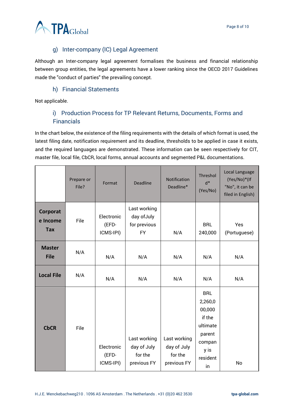

#### g) Inter-company (IC) Legal Agreement

<span id="page-7-0"></span>Although an Inter-company legal agreement formalises the business and financial relationship between group entities, the legal agreements have a lower ranking since the OECD 2017 Guidelines made the "conduct of parties" the prevailing concept.

#### h) Financial Statements

<span id="page-7-2"></span><span id="page-7-1"></span>Not applicable.

#### i) Production Process for TP Relevant Returns, Documents, Forms and Financials

In the chart below, the existence of the filing requirements with the details of which format is used, the latest filing date, notification requirement and its deadline, thresholds to be applied in case it exists, and the required languages are demonstrated. These information can be seen respectively for CIT, master file, local file, CbCR, local forms, annual accounts and segmented P&L documentations.

|                              | Prepare or<br>File? | Format                           | <b>Deadline</b>                                          | Notification<br>Deadline*                             | Threshol<br>$d^*$<br>(Yes/No)                                                                       | Local Language<br>(Yes/No)*(If<br>"No", it can be<br>filed in English) |
|------------------------------|---------------------|----------------------------------|----------------------------------------------------------|-------------------------------------------------------|-----------------------------------------------------------------------------------------------------|------------------------------------------------------------------------|
| Corporat<br>e Income<br>Tax  | File                | Electronic<br>(EFD-<br>ICMS-IPI) | Last working<br>day of July<br>for previous<br><b>FY</b> | N/A                                                   | <b>BRL</b><br>240,000                                                                               | Yes<br>(Portuguese)                                                    |
| <b>Master</b><br><b>File</b> | N/A                 | N/A                              | N/A                                                      | N/A                                                   | N/A                                                                                                 | N/A                                                                    |
| <b>Local File</b>            | N/A                 | N/A                              | N/A                                                      | N/A                                                   | N/A                                                                                                 | N/A                                                                    |
| <b>CbCR</b>                  | File                | Electronic<br>(EFD-<br>ICMS-IPI) | Last working<br>day of July<br>for the<br>previous FY    | Last working<br>day of July<br>for the<br>previous FY | <b>BRL</b><br>2,260,0<br>00,000<br>if the<br>ultimate<br>parent<br>compan<br>y is<br>resident<br>in | No                                                                     |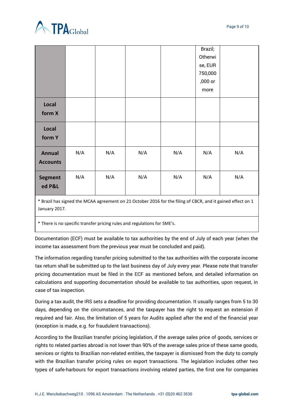

|                                  |     |     |     |     | Brazil;<br>Otherwi<br>se, EUR<br>750,000<br>,000 or<br>more |     |
|----------------------------------|-----|-----|-----|-----|-------------------------------------------------------------|-----|
| Local<br>form X                  |     |     |     |     |                                                             |     |
| Local<br>form Y                  |     |     |     |     |                                                             |     |
| <b>Annual</b><br><b>Accounts</b> | N/A | N/A | N/A | N/A | N/A                                                         | N/A |
| <b>Segment</b><br>ed P&L         | N/A | N/A | N/A | N/A | N/A                                                         | N/A |

\* Brazil has signed the MCAA agreement on 21 October 2016 for the filing of CBCR, and it gained effect on 1 January 2017.

\* There is no specific transfer pricing rules and regulations for SME's.

Documentation (ECF) must be available to tax authorities by the end of July of each year (when the income tax assessment from the previous year must be concluded and paid).

The information regarding transfer pricing submitted to the tax authorities with the corporate income tax return shall be submitted up to the last business day of July every year. Please note that transfer pricing documentation must be filed in the ECF as mentioned before, and detailed information on calculations and supporting documentation should be available to tax authorities, upon request, in case of tax inspection.

During a tax audit, the IRS sets a deadline for providing documentation. It usually ranges from 5 to 30 days, depending on the circumstances, and the taxpayer has the right to request an extension if required and fair. Also, the limitation of 5 years for Audits applied after the end of the financial year (exception is made, e.g. for fraudulent transactions).

According to the Brazilian transfer pricing legislation, if the average sales price of goods, services or rights to related parties abroad is not lower than 90% of the average sales price of these same goods, services or rights to Brazilian non-related entities, the taxpayer is dismissed from the duty to comply with the Brazilian transfer pricing rules on export transactions. The legislation includes other two types of safe-harbours for export transactions involving related parties, the first one for companies